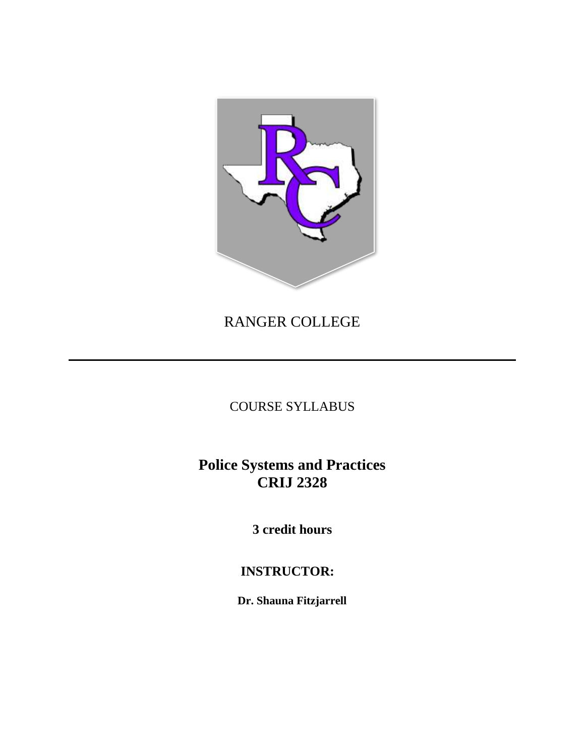

# RANGER COLLEGE

COURSE SYLLABUS

# **Police Systems and Practices CRIJ 2328**

**3 credit hours**

## **INSTRUCTOR:**

**Dr. Shauna Fitzjarrell**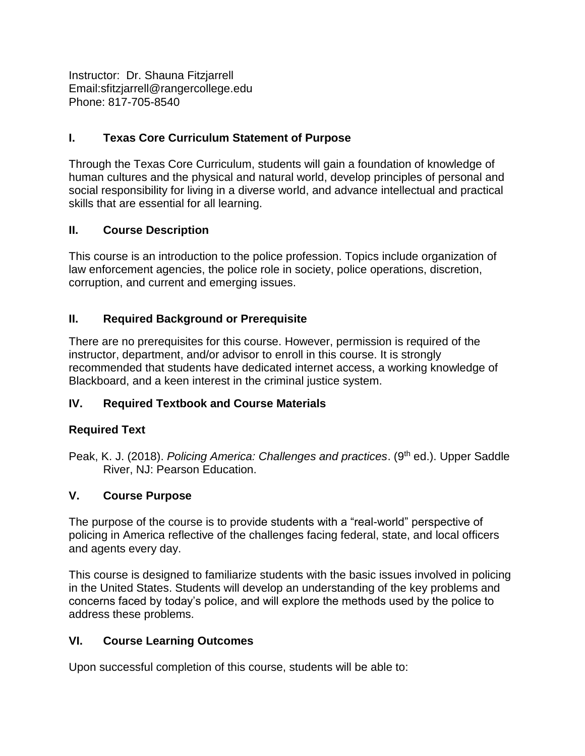Instructor: Dr. Shauna Fitzjarrell Email:sfitzjarrell@rangercollege.edu Phone: 817-705-8540

## **I. Texas Core Curriculum Statement of Purpose**

Through the Texas Core Curriculum, students will gain a foundation of knowledge of human cultures and the physical and natural world, develop principles of personal and social responsibility for living in a diverse world, and advance intellectual and practical skills that are essential for all learning.

### **II. Course Description**

This course is an introduction to the police profession. Topics include organization of law enforcement agencies, the police role in society, police operations, discretion, corruption, and current and emerging issues.

### **II. Required Background or Prerequisite**

There are no prerequisites for this course. However, permission is required of the instructor, department, and/or advisor to enroll in this course. It is strongly recommended that students have dedicated internet access, a working knowledge of Blackboard, and a keen interest in the criminal justice system.

## **IV. Required Textbook and Course Materials**

#### **Required Text**

Peak, K. J. (2018). Policing America: Challenges and practices. (9<sup>th</sup> ed.). Upper Saddle River, NJ: Pearson Education.

#### **V. Course Purpose**

The purpose of the course is to provide students with a "real-world" perspective of policing in America reflective of the challenges facing federal, state, and local officers and agents every day.

This course is designed to familiarize students with the basic issues involved in policing in the United States. Students will develop an understanding of the key problems and concerns faced by today's police, and will explore the methods used by the police to address these problems.

#### **VI. Course Learning Outcomes**

Upon successful completion of this course, students will be able to: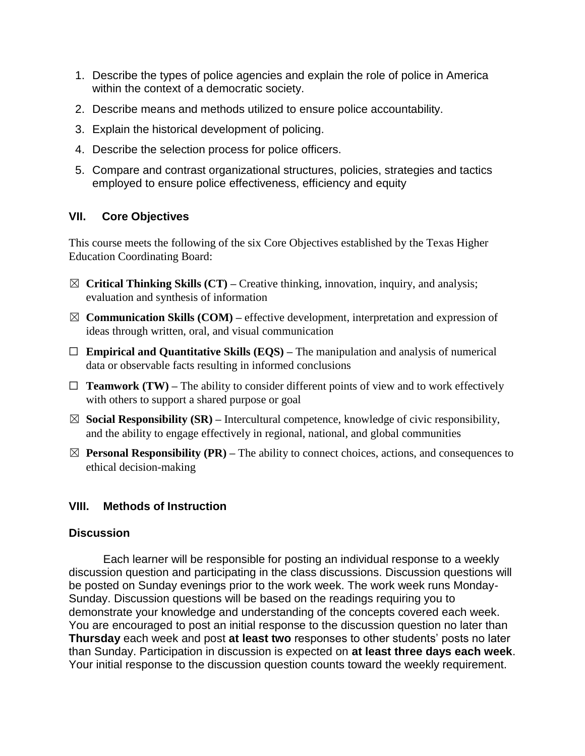- 1. Describe the types of police agencies and explain the role of police in America within the context of a democratic society.
- 2. Describe means and methods utilized to ensure police accountability.
- 3. Explain the historical development of policing.
- 4. Describe the selection process for police officers.
- 5. Compare and contrast organizational structures, policies, strategies and tactics employed to ensure police effectiveness, efficiency and equity

## **VII. Core Objectives**

This course meets the following of the six Core Objectives established by the Texas Higher Education Coordinating Board:

- ☒ **Critical Thinking Skills (CT) –** Creative thinking, innovation, inquiry, and analysis; evaluation and synthesis of information
- ☒ **Communication Skills (COM) –** effective development, interpretation and expression of ideas through written, oral, and visual communication
- ☐ **Empirical and Quantitative Skills (EQS) –** The manipulation and analysis of numerical data or observable facts resulting in informed conclusions
- $\Box$  **Teamwork (TW)** The ability to consider different points of view and to work effectively with others to support a shared purpose or goal
- $\boxtimes$  **Social Responsibility (SR)** Intercultural competence, knowledge of civic responsibility, and the ability to engage effectively in regional, national, and global communities
- $\boxtimes$  **Personal Responsibility (PR)** The ability to connect choices, actions, and consequences to ethical decision-making

## **VIII. Methods of Instruction**

#### **Discussion**

Each learner will be responsible for posting an individual response to a weekly discussion question and participating in the class discussions. Discussion questions will be posted on Sunday evenings prior to the work week. The work week runs Monday-Sunday. Discussion questions will be based on the readings requiring you to demonstrate your knowledge and understanding of the concepts covered each week. You are encouraged to post an initial response to the discussion question no later than **Thursday** each week and post **at least two** responses to other students' posts no later than Sunday. Participation in discussion is expected on **at least three days each week**. Your initial response to the discussion question counts toward the weekly requirement.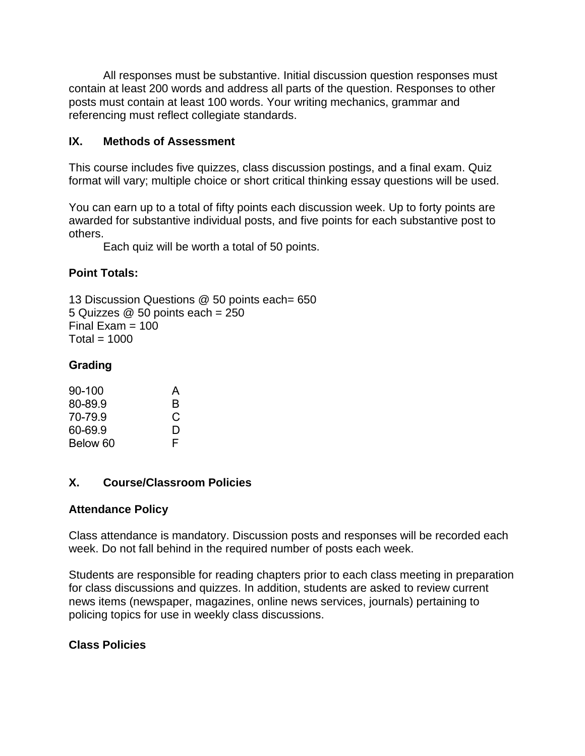All responses must be substantive. Initial discussion question responses must contain at least 200 words and address all parts of the question. Responses to other posts must contain at least 100 words. Your writing mechanics, grammar and referencing must reflect collegiate standards.

## **IX. Methods of Assessment**

This course includes five quizzes, class discussion postings, and a final exam. Quiz format will vary; multiple choice or short critical thinking essay questions will be used.

You can earn up to a total of fifty points each discussion week. Up to forty points are awarded for substantive individual posts, and five points for each substantive post to others.

Each quiz will be worth a total of 50 points.

### **Point Totals:**

13 Discussion Questions @ 50 points each= 650 5 Quizzes @ 50 points each = 250 Final Exam  $= 100$  $Total = 1000$ 

### **Grading**

| 90-100   | A |
|----------|---|
| 80-89.9  | R |
| 70-79.9  | C |
| 60-69.9  | D |
| Below 60 | F |

#### **X. Course/Classroom Policies**

#### **Attendance Policy**

Class attendance is mandatory. Discussion posts and responses will be recorded each week. Do not fall behind in the required number of posts each week.

Students are responsible for reading chapters prior to each class meeting in preparation for class discussions and quizzes. In addition, students are asked to review current news items (newspaper, magazines, online news services, journals) pertaining to policing topics for use in weekly class discussions.

## **Class Policies**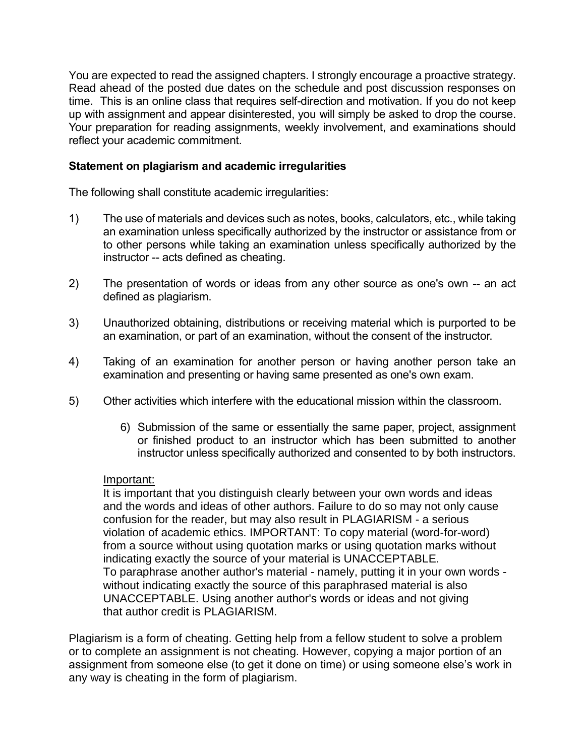You are expected to read the assigned chapters. I strongly encourage a proactive strategy. Read ahead of the posted due dates on the schedule and post discussion responses on time. This is an online class that requires self-direction and motivation. If you do not keep up with assignment and appear disinterested, you will simply be asked to drop the course. Your preparation for reading assignments, weekly involvement, and examinations should reflect your academic commitment.

#### **Statement on plagiarism and academic irregularities**

The following shall constitute academic irregularities:

- 1) The use of materials and devices such as notes, books, calculators, etc., while taking an examination unless specifically authorized by the instructor or assistance from or to other persons while taking an examination unless specifically authorized by the instructor -- acts defined as cheating.
- 2) The presentation of words or ideas from any other source as one's own -- an act defined as plagiarism.
- 3) Unauthorized obtaining, distributions or receiving material which is purported to be an examination, or part of an examination, without the consent of the instructor.
- 4) Taking of an examination for another person or having another person take an examination and presenting or having same presented as one's own exam.
- 5) Other activities which interfere with the educational mission within the classroom.
	- 6) Submission of the same or essentially the same paper, project, assignment or finished product to an instructor which has been submitted to another instructor unless specifically authorized and consented to by both instructors.

#### Important:

It is important that you distinguish clearly between your own words and ideas and the words and ideas of other authors. Failure to do so may not only cause confusion for the reader, but may also result in PLAGIARISM - a serious violation of academic ethics. IMPORTANT: To copy material (word-for-word) from a source without using quotation marks or using quotation marks without indicating exactly the source of your material is UNACCEPTABLE. To paraphrase another author's material - namely, putting it in your own words without indicating exactly the source of this paraphrased material is also UNACCEPTABLE. Using another author's words or ideas and not giving that author credit is PLAGIARISM.

Plagiarism is a form of cheating. Getting help from a fellow student to solve a problem or to complete an assignment is not cheating. However, copying a major portion of an assignment from someone else (to get it done on time) or using someone else's work in any way is cheating in the form of plagiarism.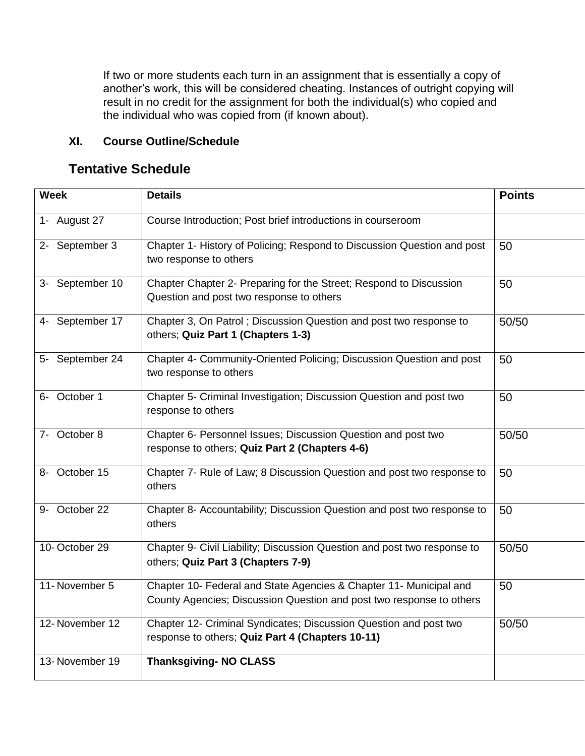If two or more students each turn in an assignment that is essentially a copy of another's work, this will be considered cheating. Instances of outright copying will result in no credit for the assignment for both the individual(s) who copied and the individual who was copied from (if known about).

## **XI. Course Outline/Schedule**

## **Tentative Schedule**

| <b>Week</b>     | <b>Details</b>                                                                                                                             | <b>Points</b> |
|-----------------|--------------------------------------------------------------------------------------------------------------------------------------------|---------------|
| 1- August 27    | Course Introduction; Post brief introductions in courseroom                                                                                |               |
| 2- September 3  | Chapter 1- History of Policing; Respond to Discussion Question and post<br>two response to others                                          | 50            |
| 3- September 10 | Chapter Chapter 2- Preparing for the Street; Respond to Discussion<br>Question and post two response to others                             | 50            |
| 4- September 17 | Chapter 3, On Patrol; Discussion Question and post two response to<br>others; Quiz Part 1 (Chapters 1-3)                                   | 50/50         |
| 5- September 24 | Chapter 4- Community-Oriented Policing; Discussion Question and post<br>two response to others                                             | 50            |
| 6- October 1    | Chapter 5- Criminal Investigation; Discussion Question and post two<br>response to others                                                  | 50            |
| 7- October 8    | Chapter 6- Personnel Issues; Discussion Question and post two<br>response to others; Quiz Part 2 (Chapters 4-6)                            | 50/50         |
| 8- October 15   | Chapter 7- Rule of Law; 8 Discussion Question and post two response to<br>others                                                           | 50            |
| 9- October 22   | Chapter 8- Accountability; Discussion Question and post two response to<br>others                                                          | 50            |
| 10-October 29   | Chapter 9- Civil Liability; Discussion Question and post two response to<br>others; Quiz Part 3 (Chapters 7-9)                             | 50/50         |
| 11-November 5   | Chapter 10- Federal and State Agencies & Chapter 11- Municipal and<br>County Agencies; Discussion Question and post two response to others | 50            |
| 12-November 12  | Chapter 12- Criminal Syndicates; Discussion Question and post two<br>response to others; Quiz Part 4 (Chapters 10-11)                      | 50/50         |
| 13-November 19  | <b>Thanksgiving-NO CLASS</b>                                                                                                               |               |